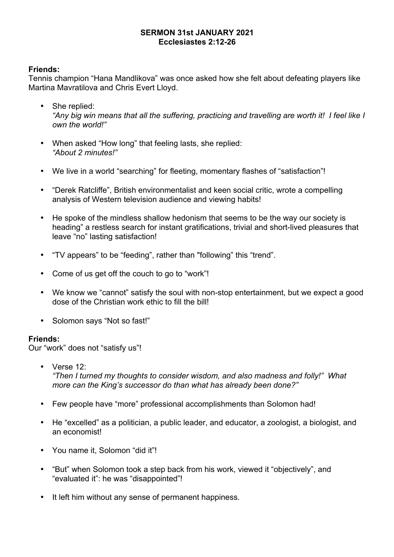#### **SERMON 31st JANUARY 2021 Ecclesiastes 2:12-26**

## **Friends:**

Tennis champion "Hana Mandlikova" was once asked how she felt about defeating players like Martina Mavratilova and Chris Evert Lloyd.

- She replied: *"Any big win means that all the suffering, practicing and travelling are worth it! I feel like I own the world!"*
- When asked "How long" that feeling lasts, she replied: *"About 2 minutes!"*
- We live in a world "searching" for fleeting, momentary flashes of "satisfaction"!
- "Derek Ratcliffe", British environmentalist and keen social critic, wrote a compelling analysis of Western television audience and viewing habits!
- He spoke of the mindless shallow hedonism that seems to be the way our society is heading" a restless search for instant gratifications, trivial and short-lived pleasures that leave "no" lasting satisfaction!
- "TV appears" to be "feeding", rather than "following" this "trend".
- Come of us get off the couch to go to "work"!
- We know we "cannot" satisfy the soul with non-stop entertainment, but we expect a good dose of the Christian work ethic to fill the bill!
- Solomon says "Not so fast!"

#### **Friends:**

Our "work" does not "satisfy us"!

- Verse 12: *"Then I turned my thoughts to consider wisdom, and also madness and folly!" What more can the King's successor do than what has already been done?"*
- Few people have "more" professional accomplishments than Solomon had!
- He "excelled" as a politician, a public leader, and educator, a zoologist, a biologist, and an economist!
- You name it, Solomon "did it"!
- "But" when Solomon took a step back from his work, viewed it "objectively", and "evaluated it": he was "disappointed"!
- It left him without any sense of permanent happiness.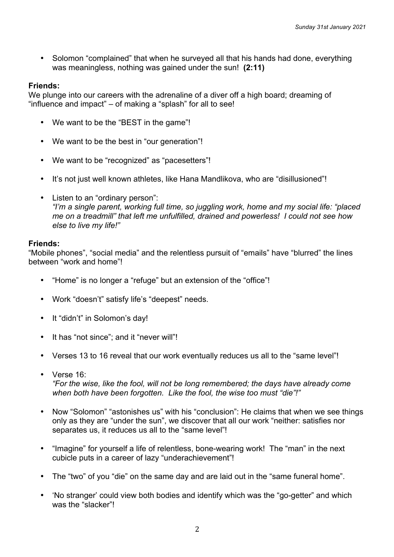• Solomon "complained" that when he surveyed all that his hands had done, everything was meaningless, nothing was gained under the sun! **(2:11)**

### **Friends:**

We plunge into our careers with the adrenaline of a diver off a high board; dreaming of "influence and impact" – of making a "splash" for all to see!

- We want to be the "BEST in the game"!
- We want to be the best in "our generation"!
- We want to be "recognized" as "pacesetters"!
- It's not just well known athletes, like Hana Mandlikova, who are "disillusioned"!
- Listen to an "ordinary person": *"I'm a single parent, working full time, so juggling work, home and my social life: "placed me on a treadmill" that left me unfulfilled, drained and powerless! I could not see how else to live my life!"*

#### **Friends:**

"Mobile phones", "social media" and the relentless pursuit of "emails" have "blurred" the lines between "work and home"!

- "Home" is no longer a "refuge" but an extension of the "office"!
- Work "doesn't" satisfy life's "deepest" needs.
- It "didn't" in Solomon's day!
- It has "not since"; and it "never will"!
- Verses 13 to 16 reveal that our work eventually reduces us all to the "same level"!
- Verse 16: *"For the wise, like the fool, will not be long remembered; the days have already come when both have been forgotten. Like the fool, the wise too must "die"!"*
- Now "Solomon" "astonishes us" with his "conclusion": He claims that when we see things only as they are "under the sun", we discover that all our work "neither: satisfies nor separates us, it reduces us all to the "same level"!
- "Imagine" for yourself a life of relentless, bone-wearing work! The "man" in the next cubicle puts in a career of lazy "underachievement"!
- The "two" of you "die" on the same day and are laid out in the "same funeral home".
- 'No stranger' could view both bodies and identify which was the "go-getter" and which was the "slacker"!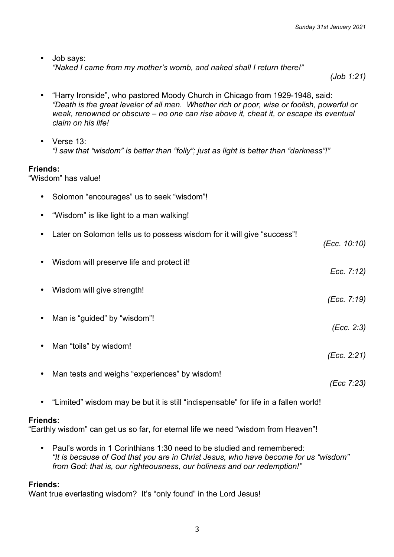• Job says: *"Naked I came from my mother's womb, and naked shall I return there!"*

*(Job 1:21)*

- "Harry Ironside", who pastored Moody Church in Chicago from 1929-1948, said: *"Death is the great leveler of all men. Whether rich or poor, wise or foolish, powerful or weak, renowned or obscure – no one can rise above it, cheat it, or escape its eventual claim on his life!*
- Verse 13: *"I saw that "wisdom" is better than "folly"; just as light is better than "darkness"!"*

# **Friends:**

"Wisdom" has value!

- Solomon "encourages" us to seek "wisdom"!
- "Wisdom" is like light to a man walking!
- Later on Solomon tells us to possess wisdom for it will give "success"! *(Ecc. 10:10)*
- Wisdom will preserve life and protect it!
- *Ecc. 7:12)*
- Wisdom will give strength! *(Ecc. 7:19)*
- Man is "guided" by "wisdom"! *(Ecc. 2:3)*
	- Man "toils" by wisdom! *(Ecc. 2:21)*
		- Man tests and weighs "experiences" by wisdom!
- *(Ecc 7:23)*
- "Limited" wisdom may be but it is still "indispensable" for life in a fallen world!

#### **Friends:**

"Earthly wisdom" can get us so far, for eternal life we need "wisdom from Heaven"!

• Paul's words in 1 Corinthians 1:30 need to be studied and remembered: *"It is because of God that you are in Christ Jesus, who have become for us "wisdom" from God: that is, our righteousness, our holiness and our redemption!"*

# **Friends:**

Want true everlasting wisdom? It's "only found" in the Lord Jesus!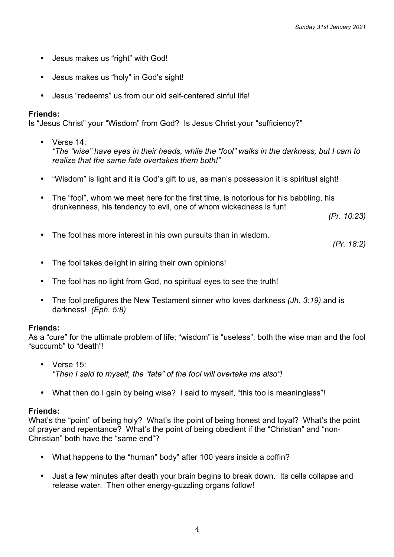- Jesus makes us "right" with God!
- Jesus makes us "holy" in God's sight!
- Jesus "redeems" us from our old self-centered sinful life!

## **Friends:**

Is "Jesus Christ" your "Wisdom" from God? Is Jesus Christ your "sufficiency?"

- Verse 14: *"The "wise" have eyes in their heads, while the "fool" walks in the darkness; but I cam to realize that the same fate overtakes them both!"*
- "Wisdom" is light and it is God's gift to us, as man's possession it is spiritual sight!
- The "fool", whom we meet here for the first time, is notorious for his babbling, his drunkenness, his tendency to evil, one of whom wickedness is fun!

*(Pr. 10:23)*

• The fool has more interest in his own pursuits than in wisdom.

*(Pr. 18:2)*

- The fool takes delight in airing their own opinions!
- The fool has no light from God, no spiritual eyes to see the truth!
- The fool prefigures the New Testament sinner who loves darkness *(Jh. 3:19)* and is darkness! *(Eph. 5:8)*

#### **Friends:**

As a "cure" for the ultimate problem of life; "wisdom" is "useless": both the wise man and the fool "succumb" to "death"!

- Verse 15: *"Then I said to myself, the "fate" of the fool will overtake me also"!*
- What then do I gain by being wise? I said to myself, "this too is meaningless"!

#### **Friends:**

What's the "point" of being holy? What's the point of being honest and loyal? What's the point of prayer and repentance? What's the point of being obedient if the "Christian" and "non-Christian" both have the "same end"?

- What happens to the "human" body" after 100 years inside a coffin?
- Just a few minutes after death your brain begins to break down. Its cells collapse and release water. Then other energy-guzzling organs follow!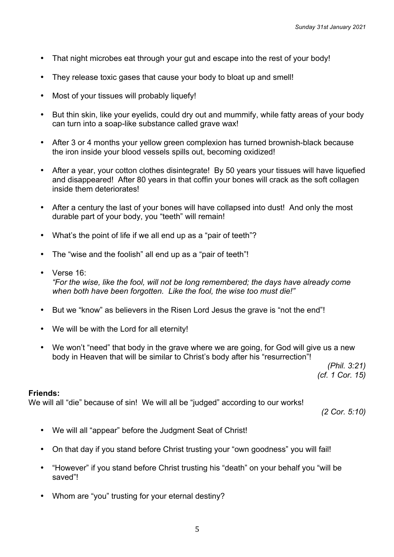- That night microbes eat through your gut and escape into the rest of your body!
- They release toxic gases that cause your body to bloat up and smell!
- Most of your tissues will probably liquefy!
- But thin skin, like your eyelids, could dry out and mummify, while fatty areas of your body can turn into a soap-like substance called grave wax!
- After 3 or 4 months your yellow green complexion has turned brownish-black because the iron inside your blood vessels spills out, becoming oxidized!
- After a year, your cotton clothes disintegrate! By 50 years your tissues will have liquefied and disappeared! After 80 years in that coffin your bones will crack as the soft collagen inside them deteriorates!
- After a century the last of your bones will have collapsed into dust! And only the most durable part of your body, you "teeth" will remain!
- What's the point of life if we all end up as a "pair of teeth"?
- The "wise and the foolish" all end up as a "pair of teeth"!
- Verse 16: *"For the wise, like the fool, will not be long remembered; the days have already come when both have been forgotten. Like the fool, the wise too must die!"*
- But we "know" as believers in the Risen Lord Jesus the grave is "not the end"!
- We will be with the Lord for all eternity!
- We won't "need" that body in the grave where we are going, for God will give us a new body in Heaven that will be similar to Christ's body after his "resurrection"!

*(Phil. 3:21) (cf. 1 Cor. 15)*

#### **Friends:**

We will all "die" because of sin! We will all be "judged" according to our works!

*(2 Cor. 5:10)*

- We will all "appear" before the Judgment Seat of Christ!
- On that day if you stand before Christ trusting your "own goodness" you will fail!
- "However" if you stand before Christ trusting his "death" on your behalf you "will be saved"!
- Whom are "you" trusting for your eternal destiny?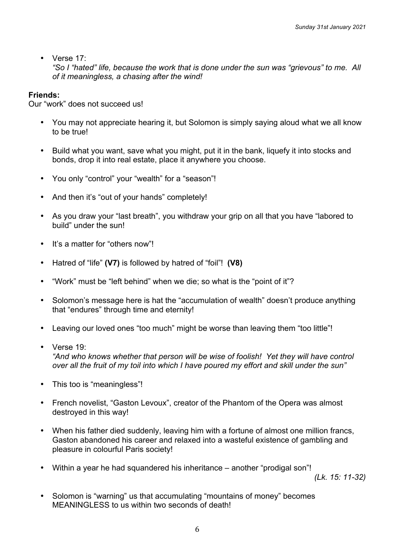• Verse 17:

*"So I "hated" life, because the work that is done under the sun was "grievous" to me. All of it meaningless, a chasing after the wind!*

### **Friends:**

Our "work" does not succeed us!

- You may not appreciate hearing it, but Solomon is simply saying aloud what we all know to be true!
- Build what you want, save what you might, put it in the bank, liquefy it into stocks and bonds, drop it into real estate, place it anywhere you choose.
- You only "control" your "wealth" for a "season"!
- And then it's "out of your hands" completely!
- As you draw your "last breath", you withdraw your grip on all that you have "labored to build" under the sun!
- It's a matter for "others now"!
- Hatred of "life" **(V7)** is followed by hatred of "foil"! **(V8)**
- "Work" must be "left behind" when we die; so what is the "point of it"?
- Solomon's message here is hat the "accumulation of wealth" doesn't produce anything that "endures" through time and eternity!
- Leaving our loved ones "too much" might be worse than leaving them "too little"!
- Verse 19: *"And who knows whether that person will be wise of foolish! Yet they will have control over all the fruit of my toil into which I have poured my effort and skill under the sun"*
- This too is "meaningless"!
- French novelist, "Gaston Levoux", creator of the Phantom of the Opera was almost destroyed in this way!
- When his father died suddenly, leaving him with a fortune of almost one million francs, Gaston abandoned his career and relaxed into a wasteful existence of gambling and pleasure in colourful Paris society!
- Within a year he had squandered his inheritance another "prodigal son"!

*(Lk. 15: 11-32)*

• Solomon is "warning" us that accumulating "mountains of money" becomes MEANINGLESS to us within two seconds of death!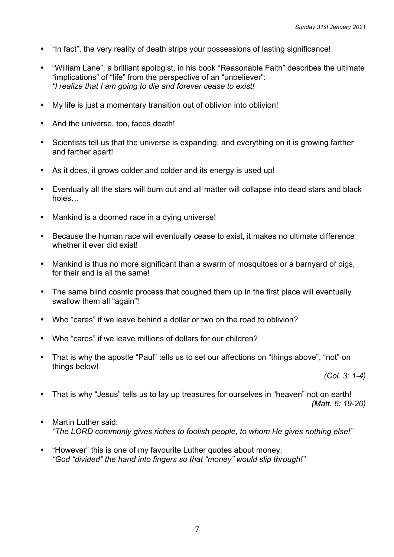- "In fact", the very reality of death strips your possessions of lasting significance!
- "William Lane", a brilliant apologist, in his book "Reasonable Faith" describes the ultimate "implications" of "life" from the perspective of an "unbeliever": *"I realize that I am going to die and forever cease to exist!*
- My life is just a momentary transition out of oblivion into oblivion!
- And the universe, too, faces death!
- Scientists tell us that the universe is expanding, and everything on it is growing farther and farther apart!
- As it does, it grows colder and colder and its energy is used up!
- Eventually all the stars will burn out and all matter will collapse into dead stars and black holes…
- Mankind is a doomed race in a dying universe!
- Because the human race will eventually cease to exist, it makes no ultimate difference whether it ever did exist!
- Mankind is thus no more significant than a swarm of mosquitoes or a barnyard of pigs, for their end is all the same!
- The same blind cosmic process that coughed them up in the first place will eventually swallow them all "again"!
- Who "cares" if we leave behind a dollar or two on the road to oblivion?
- Who "cares" if we leave millions of dollars for our children?
- That is why the apostle "Paul" tells us to set our affections on "things above", "not" on things below!

*(Col. 3: 1-4)*

- That is why "Jesus" tells us to lay up treasures for ourselves in "heaven" not on earth! *(Matt. 6: 19-20)*
- Martin Luther said: *"The LORD commonly gives riches to foolish people, to whom He gives nothing else!"*
- "However" this is one of my favourite Luther quotes about money: *"God "divided" the hand into fingers so that "money" would slip through!"*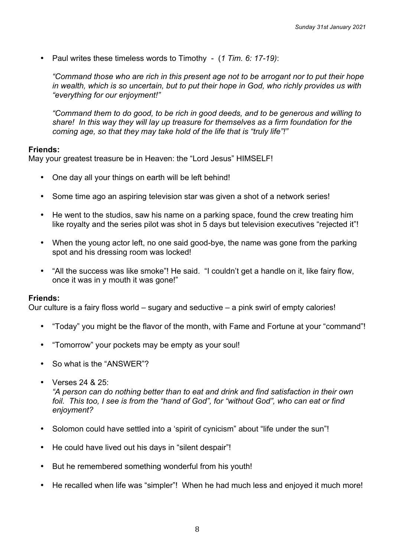• Paul writes these timeless words to Timothy - (*1 Tim. 6: 17-19)*:

*"Command those who are rich in this present age not to be arrogant nor to put their hope in wealth, which is so uncertain, but to put their hope in God, who richly provides us with "everything for our enjoyment!"*

*"Command them to do good, to be rich in good deeds, and to be generous and willing to share! In this way they will lay up treasure for themselves as a firm foundation for the coming age, so that they may take hold of the life that is "truly life"!"*

#### **Friends:**

May your greatest treasure be in Heaven: the "Lord Jesus" HIMSELF!

- One day all your things on earth will be left behind!
- Some time ago an aspiring television star was given a shot of a network series!
- He went to the studios, saw his name on a parking space, found the crew treating him like royalty and the series pilot was shot in 5 days but television executives "rejected it"!
- When the young actor left, no one said good-bye, the name was gone from the parking spot and his dressing room was locked!
- "All the success was like smoke"! He said. "I couldn't get a handle on it, like fairy flow, once it was in y mouth it was gone!"

#### **Friends:**

Our culture is a fairy floss world – sugary and seductive – a pink swirl of empty calories!

- "Today" you might be the flavor of the month, with Fame and Fortune at your "command"!
- "Tomorrow" your pockets may be empty as your soul!
- So what is the "ANSWER"?
- Verses 24 & 25:

*"A person can do nothing better than to eat and drink and find satisfaction in their own foil. This too, I see is from the "hand of God", for "without God", who can eat or find enjoyment?*

- Solomon could have settled into a 'spirit of cynicism" about "life under the sun"!
- He could have lived out his days in "silent despair"!
- But he remembered something wonderful from his youth!
- He recalled when life was "simpler"! When he had much less and enjoyed it much more!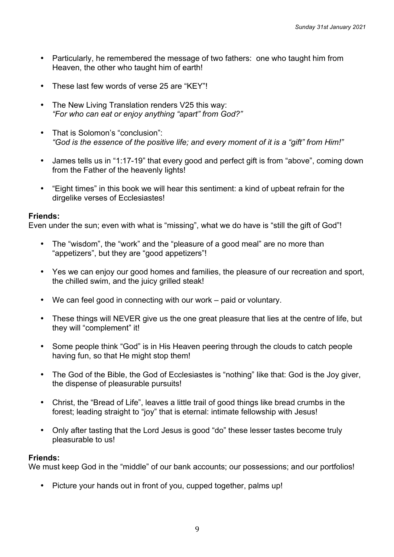- Particularly, he remembered the message of two fathers: one who taught him from Heaven, the other who taught him of earth!
- These last few words of verse 25 are "KEY"!
- The New Living Translation renders V25 this way: *"For who can eat or enjoy anything "apart" from God?"*
- That is Solomon's "conclusion": *"God is the essence of the positive life; and every moment of it is a "gift" from Him!"*
- James tells us in "1:17-19" that every good and perfect gift is from "above", coming down from the Father of the heavenly lights!
- "Eight times" in this book we will hear this sentiment: a kind of upbeat refrain for the dirgelike verses of Ecclesiastes!

#### **Friends:**

Even under the sun; even with what is "missing", what we do have is "still the gift of God"!

- The "wisdom", the "work" and the "pleasure of a good meal" are no more than "appetizers", but they are "good appetizers"!
- Yes we can enjoy our good homes and families, the pleasure of our recreation and sport, the chilled swim, and the juicy grilled steak!
- We can feel good in connecting with our work paid or voluntary.
- These things will NEVER give us the one great pleasure that lies at the centre of life, but they will "complement" it!
- Some people think "God" is in His Heaven peering through the clouds to catch people having fun, so that He might stop them!
- The God of the Bible, the God of Ecclesiastes is "nothing" like that: God is the Joy giver, the dispense of pleasurable pursuits!
- Christ, the "Bread of Life", leaves a little trail of good things like bread crumbs in the forest; leading straight to "joy" that is eternal: intimate fellowship with Jesus!
- Only after tasting that the Lord Jesus is good "do" these lesser tastes become truly pleasurable to us!

#### **Friends:**

We must keep God in the "middle" of our bank accounts; our possessions; and our portfolios!

• Picture your hands out in front of you, cupped together, palms up!